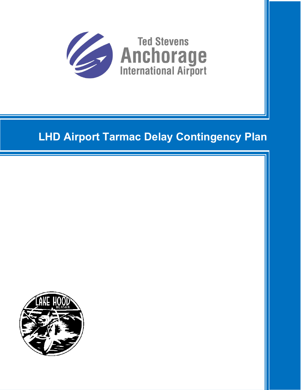

# **LHD Airport Tarmac Delay Contingency Plan**